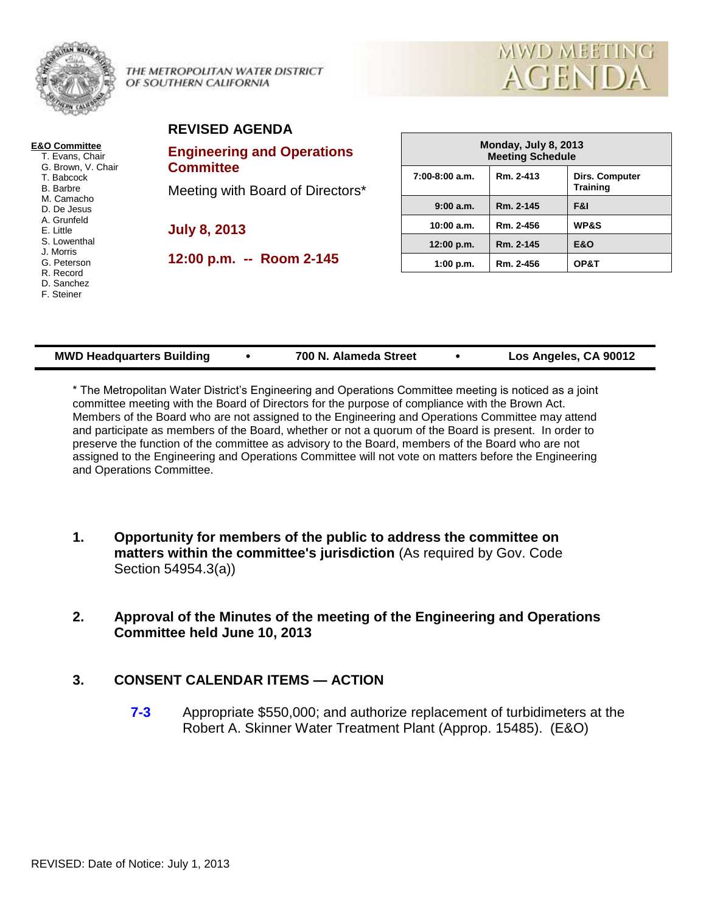

THE METROPOLITAN WATER DISTRICT OF SOUTHERN CALIFORNIA



#### **REVISED AGENDA**

**E&O Committee** T. Evans, Chair G. Brown, V. Chair T. Babcock B. Barbre M. Camacho D. De Jesus A. Grunfeld E. Little S. Lowenthal J. Morris G. Peterson R. Record D. Sanchez F. Steiner

# **Engineering and Operations Committee**

Meeting with Board of Directors\*

**July 8, 2013**

**12:00 p.m. -- Room 2-145**

| Monday, July 8, 2013<br><b>Meeting Schedule</b> |           |                                          |  |  |  |
|-------------------------------------------------|-----------|------------------------------------------|--|--|--|
| $7:00-8:00$ a.m.                                | Rm. 2-413 | <b>Dirs. Computer</b><br><b>Training</b> |  |  |  |
| 9:00 a.m.                                       | Rm. 2-145 | F&I                                      |  |  |  |
| 10:00 a.m.                                      | Rm. 2-456 | <b>WP&amp;S</b>                          |  |  |  |
| 12:00 p.m.                                      | Rm. 2-145 | <b>E&amp;O</b>                           |  |  |  |
| 1:00 p.m.                                       | Rm. 2-456 | OP&T                                     |  |  |  |

| <b>MWD Headquarters Building</b> |  | 700 N. Alameda Street |  | Los Angeles, CA 90012 |
|----------------------------------|--|-----------------------|--|-----------------------|
|----------------------------------|--|-----------------------|--|-----------------------|

\* The Metropolitan Water District's Engineering and Operations Committee meeting is noticed as a joint committee meeting with the Board of Directors for the purpose of compliance with the Brown Act. Members of the Board who are not assigned to the Engineering and Operations Committee may attend and participate as members of the Board, whether or not a quorum of the Board is present. In order to preserve the function of the committee as advisory to the Board, members of the Board who are not assigned to the Engineering and Operations Committee will not vote on matters before the Engineering and Operations Committee.

- **1. Opportunity for members of the public to address the committee on matters within the committee's jurisdiction** (As required by Gov. Code Section 54954.3(a))
- **2. Approval of the Minutes of the meeting of the Engineering and Operations Committee held June 10, 2013**

## **3. CONSENT CALENDAR ITEMS — ACTION**

**7-3** Appropriate \$550,000; and authorize replacement of turbidimeters at the Robert A. Skinner Water Treatment Plant (Approp. 15485). (E&O)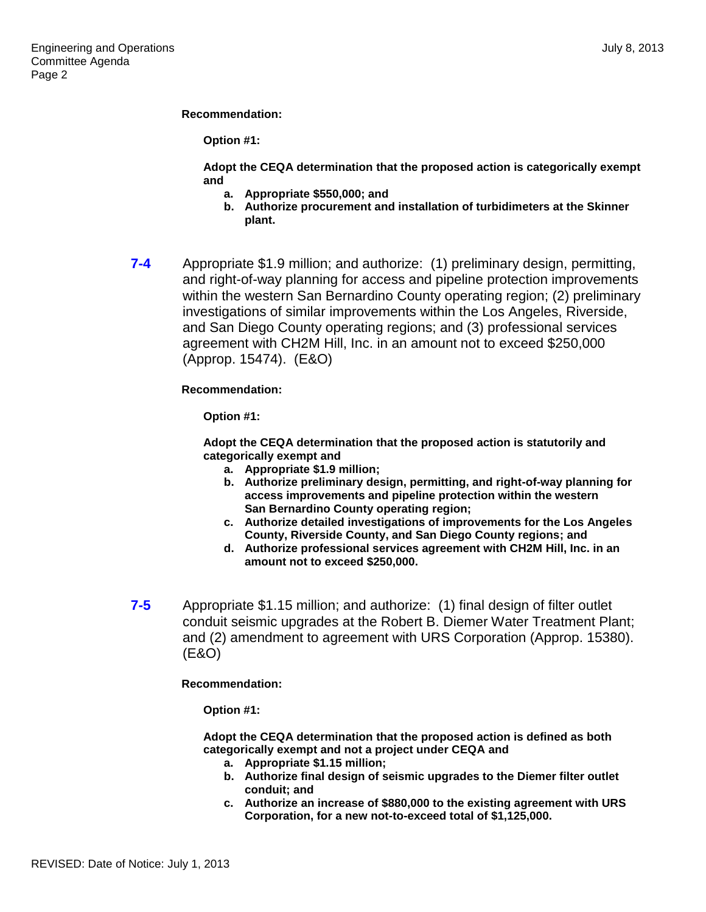#### **Recommendation:**

**Option #1:**

**Adopt the CEQA determination that the proposed action is categorically exempt and** 

- **a. Appropriate \$550,000; and**
- **b. Authorize procurement and installation of turbidimeters at the Skinner plant.**
- **7-4** Appropriate \$1.9 million; and authorize: (1) preliminary design, permitting, and right-of-way planning for access and pipeline protection improvements within the western San Bernardino County operating region; (2) preliminary investigations of similar improvements within the Los Angeles, Riverside, and San Diego County operating regions; and (3) professional services agreement with CH2M Hill, Inc. in an amount not to exceed \$250,000 (Approp. 15474). (E&O)

**Recommendation:**

**Option #1:**

**Adopt the CEQA determination that the proposed action is statutorily and categorically exempt and** 

- **a. Appropriate \$1.9 million;**
- **b. Authorize preliminary design, permitting, and right-of-way planning for access improvements and pipeline protection within the western San Bernardino County operating region;**
- **c. Authorize detailed investigations of improvements for the Los Angeles County, Riverside County, and San Diego County regions; and**
- **d. Authorize professional services agreement with CH2M Hill, Inc. in an amount not to exceed \$250,000.**
- **7-5** Appropriate \$1.15 million; and authorize: (1) final design of filter outlet conduit seismic upgrades at the Robert B. Diemer Water Treatment Plant; and (2) amendment to agreement with URS Corporation (Approp. 15380). (E&O)

**Recommendation:**

**Option #1:**

**Adopt the CEQA determination that the proposed action is defined as both categorically exempt and not a project under CEQA and** 

- **a. Appropriate \$1.15 million;**
- **b. Authorize final design of seismic upgrades to the Diemer filter outlet conduit; and**
- **c. Authorize an increase of \$880,000 to the existing agreement with URS Corporation, for a new not-to-exceed total of \$1,125,000.**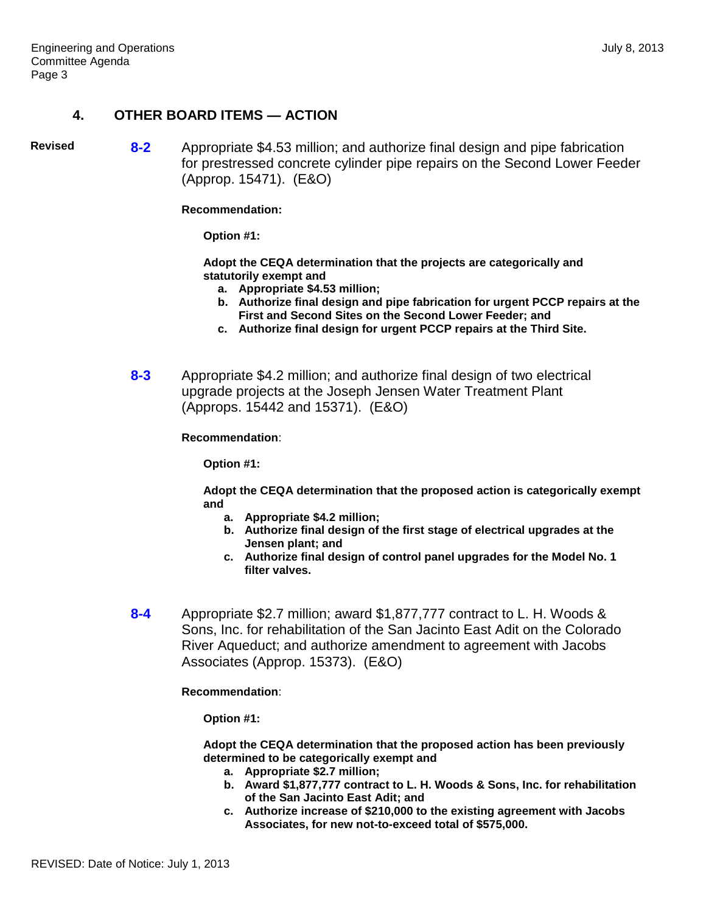#### **4. OTHER BOARD ITEMS — ACTION**

**Revised 8-2** Appropriate \$4.53 million; and authorize final design and pipe fabrication for prestressed concrete cylinder pipe repairs on the Second Lower Feeder (Approp. 15471). (E&O)

**Recommendation:**

**Option #1:**

**Adopt the CEQA determination that the projects are categorically and statutorily exempt and** 

- **a. Appropriate \$4.53 million;**
- **b. Authorize final design and pipe fabrication for urgent PCCP repairs at the First and Second Sites on the Second Lower Feeder; and**
- **c. Authorize final design for urgent PCCP repairs at the Third Site.**
- **8-3** Appropriate \$4.2 million; and authorize final design of two electrical upgrade projects at the Joseph Jensen Water Treatment Plant (Approps. 15442 and 15371). (E&O)

#### **Recommendation**:

**Option #1:**

**Adopt the CEQA determination that the proposed action is categorically exempt and** 

- **a. Appropriate \$4.2 million;**
- **b. Authorize final design of the first stage of electrical upgrades at the Jensen plant; and**
- **c. Authorize final design of control panel upgrades for the Model No. 1 filter valves.**
- **8-4** Appropriate \$2.7 million; award \$1,877,777 contract to L. H. Woods & Sons, Inc. for rehabilitation of the San Jacinto East Adit on the Colorado River Aqueduct; and authorize amendment to agreement with Jacobs Associates (Approp. 15373). (E&O)

**Recommendation**:

**Option #1:**

**Adopt the CEQA determination that the proposed action has been previously determined to be categorically exempt and** 

- **a. Appropriate \$2.7 million;**
- **b. Award \$1,877,777 contract to L. H. Woods & Sons, Inc. for rehabilitation of the San Jacinto East Adit; and**
- **c. Authorize increase of \$210,000 to the existing agreement with Jacobs Associates, for new not-to-exceed total of \$575,000.**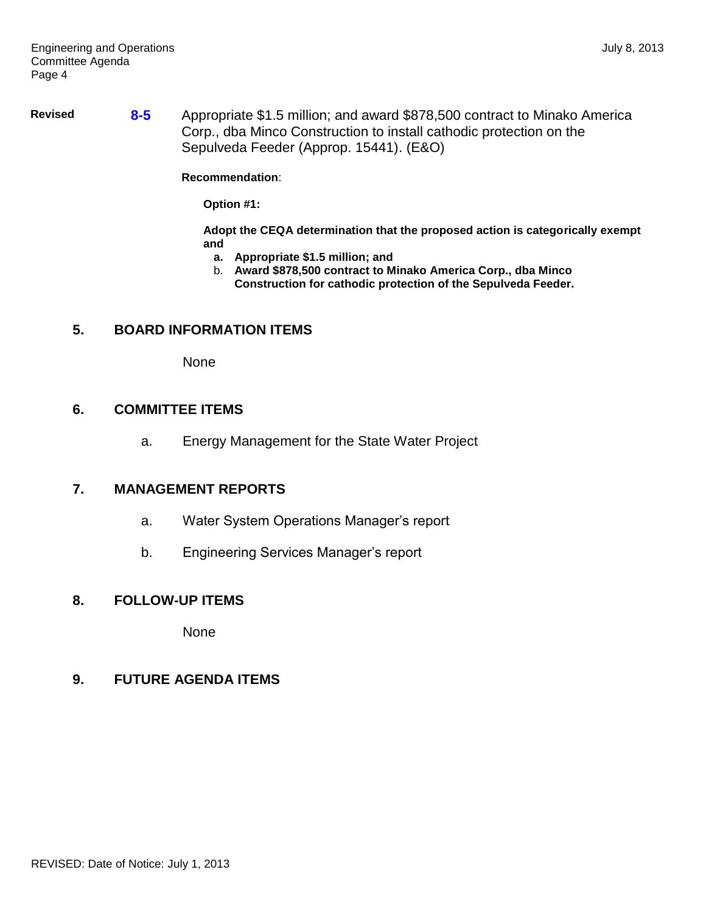**Revised 8-5** Appropriate \$1.5 million; and award \$878,500 contract to Minako America Corp., dba Minco Construction to install cathodic protection on the Sepulveda Feeder (Approp. 15441). (E&O)

**Recommendation**:

**Option #1:**

**Adopt the CEQA determination that the proposed action is categorically exempt and**

- **a. Appropriate \$1.5 million; and**
- b. **Award \$878,500 contract to Minako America Corp., dba Minco Construction for cathodic protection of the Sepulveda Feeder.**

## **5. BOARD INFORMATION ITEMS**

None

#### **6. COMMITTEE ITEMS**

a. Energy Management for the State Water Project

## **7. MANAGEMENT REPORTS**

- a. Water System Operations Manager's report
- b. Engineering Services Manager's report

## **8. FOLLOW-UP ITEMS**

None

## **9. FUTURE AGENDA ITEMS**